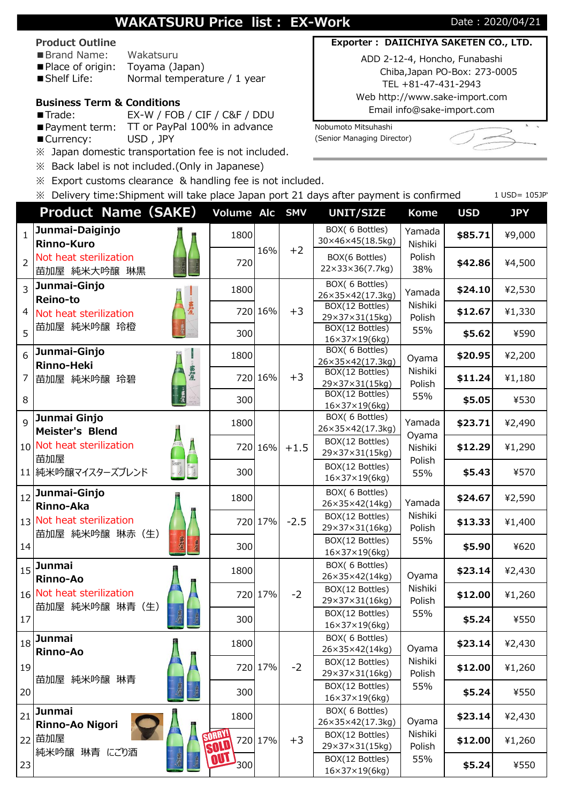# **WAKATSURU Price list : EX-Work** Date : 2020/04/21

#### **Product Outline**

- ■Brand Name: Wakatsuru
- ■Place of origin: Toyama (Japan) ■ Shelf Life: Normal temperature / 1 year

## **Business Term & Conditions**

- ■Trade: EX-W / FOB / CIF / C&F / DDU
- Payment term: TT or PayPal 100% in advance Nobumoto Mitsuhashi
- 
- ※ Japan domestic transportation fee is not included.
- ※ Back label is not included.(Only in Japanese)
- ※ Export customs clearance & handling fee is not included.
- $\%$  Delivery time: Shipment will take place Japan port 21 days after payment is confirmed 1 USD= 105JP

### Chiba,Japan PO-Box: 273-0005 TEL +81-47-431-2943 Web http://www.sake-import.com

Email info@sake-import.com

■ Currency: USD, JPY (Senior Managing Director)



|                | <b>Product Name (SAKE)</b>             |        | Volume Alc SMV        |         |                                              | <b>UNIT/SIZE</b>                                               | <b>Kome</b>       | <b>USD</b> | <b>JPY</b> |
|----------------|----------------------------------------|--------|-----------------------|---------|----------------------------------------------|----------------------------------------------------------------|-------------------|------------|------------|
| $\mathbf{1}$   | Junmai-Daiginjo<br><b>Rinno-Kuro</b>   |        | 1800                  |         |                                              | BOX( 6 Bottles)<br>30×46×45(18.5kg)                            | Yamada<br>Nishiki | \$85.71    | ¥9,000     |
| $\overline{2}$ | Not heat sterilization<br>苗加屋 純米大吟醸 琳黒 |        | 720                   | 16%     | $+2$                                         | BOX(6 Bottles)<br>22×33×36(7.7kg)                              | Polish<br>38%     | \$42.86    | ¥4,500     |
| $\overline{3}$ | Junmai-Ginjo                           |        | 1800                  |         |                                              | BOX( 6 Bottles)<br>26×35×42(17.3kg)                            | Yamada            | \$24.10    | ¥2,530     |
| 4              | Reino-to<br>Not heat sterilization     | -- 當加屋 |                       | 720 16% | $+3$                                         | BOX(12 Bottles)<br>29×37×31(15kg)                              | Nishiki<br>Polish | \$12.67    | ¥1,330     |
| 5              | 苗加屋 純米吟醸 玲橙                            | 300    |                       |         | BOX(12 Bottles)<br>$16\times37\times19(6kg)$ | 55%                                                            | \$5.62            | ¥590       |            |
| 6              | Junmai-Ginjo<br><b>Rinno-Heki</b>      |        | 1800                  |         |                                              | BOX( 6 Bottles)<br>26×35×42(17.3kg)                            | Oyama             | \$20.95    | ¥2,200     |
| 7              | 苗加屋 純米吟醸 玲碧                            | 苗加屋    |                       | 720 16% | $+3$                                         | BOX(12 Bottles)<br>29×37×31(15kg)                              | Nishiki<br>Polish | \$11.24    | ¥1,180     |
| 8              |                                        |        | 300                   |         |                                              | BOX(12 Bottles)<br>$16\times37\times19(6kg)$                   | 55%               | \$5.05     | ¥530       |
| $\mathsf{q}$   | Junmai Ginjo<br>Meister's Blend        |        | 1800                  |         |                                              | BOX( 6 Bottles)<br>26×35×42(17.3kg)                            | Yamada            | \$23.71    | ¥2,490     |
|                | 10 Not heat sterilization              |        |                       | 720 16% | $+1.5$                                       | BOX(12 Bottles)<br>29×37×31(15kg)                              | Oyama<br>Nishiki  | \$12.29    | ¥1,290     |
|                | 苗加屋<br>11 純米吟醸マイスターズブレンド               |        | 300                   |         |                                              | BOX(12 Bottles)<br>$16\times37\times19(6kg)$                   | Polish<br>55%     | \$5.43     | ¥570       |
| 12             | Junmai-Ginjo                           |        | 1800                  |         |                                              | BOX( 6 Bottles)<br>26×35×42(14kg)                              | Yamada            | \$24.67    | ¥2,590     |
|                | Rinno-Aka<br>13 Not heat sterilization |        |                       | 720 17% | $-2.5$                                       | BOX(12 Bottles)                                                | Nishiki           | \$13.33    | ¥1,400     |
| 14             | 苗加屋 純米吟醸 琳赤 (生)<br>黄瘤<br>黄星            |        | 300                   |         |                                              | 29×37×31(16kg)<br>BOX(12 Bottles)<br>$16\times37\times19(6kg)$ | Polish<br>55%     | \$5.90     | ¥620       |
| 15             | <b>Junmai</b>                          |        | 1800                  |         |                                              | BOX( 6 Bottles)<br>26×35×42(14kg)                              | Oyama             | \$23.14    | ¥2,430     |
|                | Rinno-Ao<br>16 Not heat sterilization  |        |                       | 720 17% | $-2$                                         | BOX(12 Bottles)<br>29×37×31(16kg)                              | Nishiki<br>Polish | \$12.00    | ¥1,260     |
| 17             | 苗加屋 純米吟醸 琳青 (生)                        | 300    |                       |         | BOX(12 Bottles)<br>$16\times37\times19(6kg)$ | 55%                                                            | \$5.24            | ¥550       |            |
|                | $_{18}$ Junmai<br>Rinno-Ao             |        | 1800                  |         |                                              | BOX( 6 Bottles)<br>26×35×42(14kg)                              | Oyama             | \$23.14    | ¥2,430     |
| 19             |                                        |        |                       | 720 17% | $-2$                                         | BOX(12 Bottles)<br>29×37×31(16kg)                              | Nishiki<br>Polish | \$12.00    | ¥1,260     |
| 20             | 苗加屋 純米吟醸 琳青                            |        | 300                   |         |                                              | BOX(12 Bottles)<br>$16\times37\times19(6kg)$                   | 55%               | \$5.24     | ¥550       |
| 21             | Junmai<br>Rinno-Ao Nigori              |        | 1800                  |         |                                              | BOX(6 Bottles)<br>26×35×42(17.3kg)                             | Oyama             | \$23.14    | ¥2,430     |
|                | 22 苗加屋                                 |        | <b>SORRY!</b><br>SOLD | 720 17% | $+3$                                         | BOX(12 Bottles)<br>29×37×31(15kg)                              | Nishiki<br>Polish | \$12.00    | ¥1,260     |
| 23             | 純米吟醸 琳青 にごり酒                           |        | '300'                 |         |                                              | BOX(12 Bottles)<br>$16\times37\times19(6kg)$                   | 55%               | \$5.24     | ¥550       |

# **Exporter : DAIICHIYA SAKETEN CO., LTD.** ADD 2-12-4, Honcho, Funabashi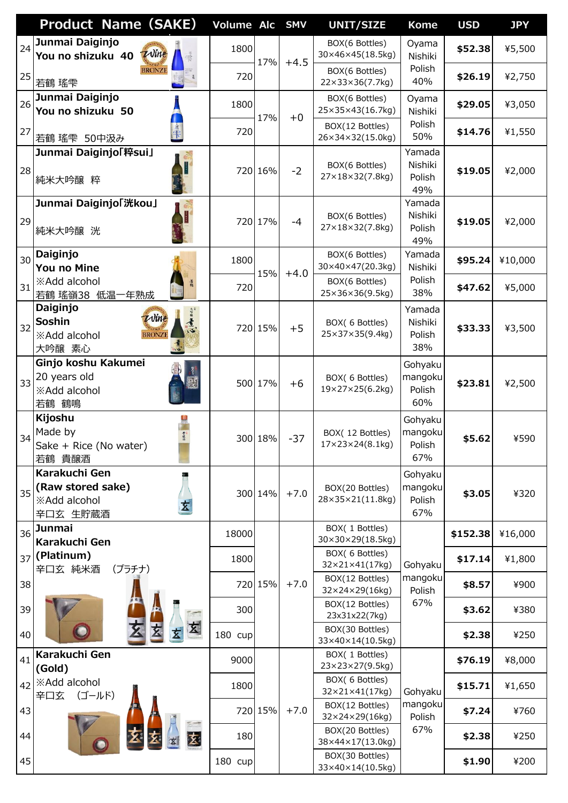|    | <b>Product Name (SAKE)</b>                                                           | Volume Alc SMV |         |        | <b>UNIT/SIZE</b>                                   | <b>Kome</b>                         | <b>USD</b> | <b>JPY</b> |
|----|--------------------------------------------------------------------------------------|----------------|---------|--------|----------------------------------------------------|-------------------------------------|------------|------------|
| 24 | Junmai Daiginjo<br>Wine<br>You no shizuku 40                                         | 1800           | 17%     | $+4.5$ | BOX(6 Bottles)<br>30×46×45(18.5kg)                 | Oyama<br>Nishiki                    | \$52.38    | ¥5,500     |
| 25 | <b>BRONZE</b><br>若鶴 瑤雫                                                               | 720            |         |        | BOX(6 Bottles)<br>22×33×36(7.7kg)                  | Polish<br>40%                       | \$26.19    | ¥2,750     |
| 26 | Junmai Daiginjo<br>You no shizuku 50                                                 | 1800           | 17%     | $+0$   | BOX(6 Bottles)<br>25×35×43(16.7kg)                 | Oyama<br>Nishiki                    | \$29.05    | ¥3,050     |
| 27 | 若鶴 瑤雫 50中汲み                                                                          | 720            |         |        | BOX(12 Bottles)<br>26×34×32(15.0kg)                | Polish<br>50%                       | \$14.76    | ¥1,550     |
| 28 | Junmai Daiginjo「粹sui」<br>純米大吟醸 粹                                                     |                | 720 16% | $-2$   | BOX(6 Bottles)<br>27×18×32(7.8kg)                  | Yamada<br>Nishiki<br>Polish<br>49%  | \$19.05    | ¥2,000     |
| 29 | Junmai Daiginjo「洸kou」<br>純米大吟醸 洸                                                     |                | 720 17% | $-4$   | BOX(6 Bottles)<br>27×18×32(7.8kg)                  | Yamada<br>Nishiki<br>Polish<br>49%  | \$19.05    | ¥2,000     |
| 30 | Daiginjo<br><b>You no Mine</b>                                                       | 1800           | 15%     | $+4.0$ | BOX(6 Bottles)<br>30×40×47(20.3kg)                 | Yamada<br>Nishiki                   | \$95.24    | ¥10,000    |
| 31 | ※Add alcohol<br>若鶴 瑤嶺38 低温一年熟成                                                       | 720            |         |        | BOX(6 Bottles)<br>25×36×36(9.5kg)                  | Polish<br>38%                       | \$47.62    | ¥5,000     |
| 32 | Daiginjo<br>大学服务<br>Wine<br>Soshin<br><b>BRONZE</b><br><b>※Add alcohol</b><br>大吟醸 素心 |                | 720 15% | $+5$   | BOX( 6 Bottles)<br>25×37×35(9.4kg)                 | Yamada<br>Nishiki<br>Polish<br>38%  | \$33.33    | ¥3,500     |
| 33 | Ginjo koshu Kakumei<br>20 years old<br><b>※Add alcohol</b><br>若鶴 鶴鳴                  |                | 500 17% | $+6$   | BOX(6 Bottles)<br>19×27×25(6.2kg)                  | Gohyaku<br>mangoku<br>Polish<br>60% | \$23.81    | ¥2,500     |
| 34 | Kijoshu<br>Made by<br>Sake + Rice (No water)<br>若鶴 貴醸酒                               |                | 300 18% | $-37$  | BOX(12 Bottles)<br>$17 \times 23 \times 24(8.1kg)$ | Gohyaku<br>mangoku<br>Polish<br>67% | \$5.62     | ¥590       |
| 35 | Karakuchi Gen<br>(Raw stored sake)<br><b>※Add alcohol</b><br>玄<br>辛口玄 生貯蔵酒           |                | 300 14% | $+7.0$ | BOX(20 Bottles)<br>28×35×21(11.8kg)                | Gohyaku<br>mangoku<br>Polish<br>67% | \$3.05     | ¥320       |
| 36 | <b>Junmai</b><br>Karakuchi Gen                                                       | 18000          |         |        | BOX(1 Bottles)<br>30×30×29(18.5kg)                 |                                     | \$152.38   | ¥16,000    |
|    | $_{37}$ (Platinum)<br>辛口玄 純米酒<br>(プラチナ)                                              | 1800           |         |        | BOX( 6 Bottles)<br>32×21×41(17kg)                  | Gohyaku                             | \$17.14    | ¥1,800     |
| 38 |                                                                                      |                | 720 15% | $+7.0$ | BOX(12 Bottles)<br>32×24×29(16kg)                  | mangoku<br>Polish                   | \$8.57     | ¥900       |
| 39 |                                                                                      | 300            |         |        | BOX(12 Bottles)<br>23x31x22(7kg)                   | 67%                                 | \$3.62     | ¥380       |
| 40 | 玄                                                                                    | 180 cup        |         |        | BOX(30 Bottles)<br>33×40×14(10.5kg)                |                                     | \$2.38     | ¥250       |
| 41 | Karakuchi Gen<br>(Gold)                                                              | 9000           |         |        | BOX(1 Bottles)<br>23×23×27(9.5kg)                  |                                     | \$76.19    | ¥8,000     |
|    | 42 <b>X</b> Add alcohol<br>(ゴールド)<br>辛口玄                                             | 1800           |         |        | BOX( 6 Bottles)<br>32×21×41(17kg)                  | Gohyaku                             | \$15.71    | ¥1,650     |
| 43 |                                                                                      |                | 720 15% | $+7.0$ | BOX(12 Bottles)<br>32×24×29(16kg)                  | mangoku<br>Polish                   | \$7.24     | ¥760       |
| 44 | 麦                                                                                    | 180            |         |        | BOX(20 Bottles)<br>38×44×17(13.0kg)                | 67%                                 | \$2.38     | ¥250       |
| 45 |                                                                                      | 180 cup        |         |        | BOX(30 Bottles)<br>33×40×14(10.5kg)                |                                     | \$1.90     | ¥200       |